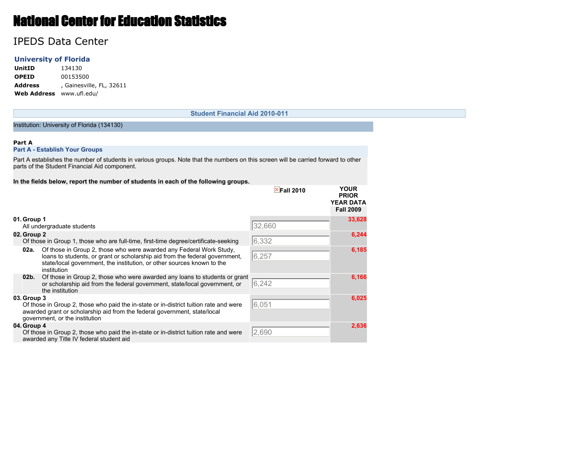# National Center for Education Statistics

## IPEDS Data Center

## **University of Florida**

**UnitID** 134130 **OPEID** 00153500 **Address** , Gainesville, FL, 32611 **Web Address** www.ufl.edu/

#### **Student Financial Aid 2010-011**

### Institution: University of Florida (134130)

#### **Part A**

#### **Part A - Establish Your Groups**

Part A establishes the number of students in various groups. Note that the numbers on this screen will be carried forward to other parts of the Student Financial Aid component.

#### **In the fields below, report the number of students in each of the following groups.**

|                 |                                                                                                                                                                                                                                             | $\times$ Fall 2010 | <b>YOUR</b><br><b>PRIOR</b><br><b>YEAR DATA</b><br><b>Fall 2009</b> |
|-----------------|---------------------------------------------------------------------------------------------------------------------------------------------------------------------------------------------------------------------------------------------|--------------------|---------------------------------------------------------------------|
| 01. Group 1     |                                                                                                                                                                                                                                             |                    | 33,628                                                              |
|                 | All undergraduate students                                                                                                                                                                                                                  | 32,660             |                                                                     |
| 02. Group 2     | Of those in Group 1, those who are full-time, first-time degree/certificate-seeking                                                                                                                                                         | 6,332              | 6,244                                                               |
| 02a.            | Of those in Group 2, those who were awarded any Federal Work Study,<br>loans to students, or grant or scholarship aid from the federal government,<br>state/local government, the institution, or other sources known to the<br>institution | 6,257              | 6,185                                                               |
| 02 <sub>b</sub> | Of those in Group 2, those who were awarded any loans to students or grant<br>or scholarship aid from the federal government, state/local government, or<br>the institution                                                                 | 6,242              | 6,166                                                               |
| 03. Group 3     | Of those in Group 2, those who paid the in-state or in-district tuition rate and were<br>awarded grant or scholarship aid from the federal government, state/local<br>government, or the institution                                        | 6,051              | 6,025                                                               |
| 04. Group 4     | Of those in Group 2, those who paid the in-state or in-district tuition rate and were<br>awarded any Title IV federal student aid                                                                                                           | 2,690              | 2,636                                                               |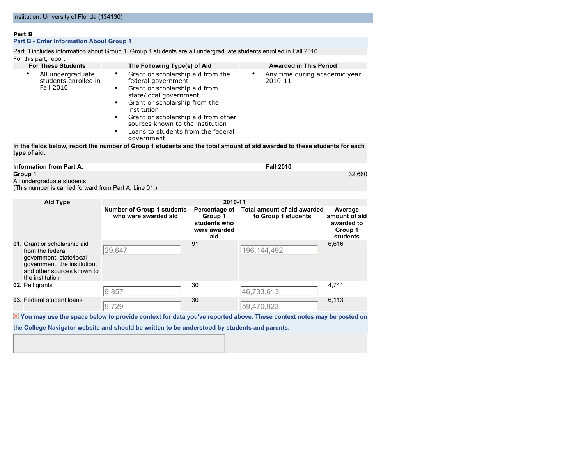#### **Part B**

#### **Part B - Enter Information About Group 1**

Part B includes information about Group 1. Group 1 students are all undergraduate students enrolled in Fall 2010. For this part, report:

| <b>For These Students</b>                                                                       | The Following Type(s) of Aid                                                                                                                                                                                                                                                                                     |                                                                 | <b>Awarded in This Period</b>                      |                                                               |
|-------------------------------------------------------------------------------------------------|------------------------------------------------------------------------------------------------------------------------------------------------------------------------------------------------------------------------------------------------------------------------------------------------------------------|-----------------------------------------------------------------|----------------------------------------------------|---------------------------------------------------------------|
| All undergraduate<br>$\bullet$<br>students enrolled in<br>Fall 2010                             | Grant or scholarship aid from the<br>٠<br>federal government<br>Grant or scholarship aid from<br>٠<br>state/local government<br>Grant or scholarship from the<br>٠<br>institution<br>Grant or scholarship aid from other<br>sources known to the institution<br>Loans to students from the federal<br>government |                                                                 | Any time during academic year<br>٠<br>2010-11      |                                                               |
| type of aid.                                                                                    | In the fields below, report the number of Group 1 students and the total amount of aid awarded to these students for each                                                                                                                                                                                        |                                                                 |                                                    |                                                               |
| <b>Information from Part A:</b>                                                                 |                                                                                                                                                                                                                                                                                                                  |                                                                 | <b>Fall 2010</b>                                   |                                                               |
| Group 1<br>All undergraduate students<br>(This number is carried forward from Part A, Line 01.) |                                                                                                                                                                                                                                                                                                                  |                                                                 |                                                    | 32,660                                                        |
| <b>Aid Type</b>                                                                                 |                                                                                                                                                                                                                                                                                                                  | 2010-11                                                         |                                                    |                                                               |
|                                                                                                 | <b>Number of Group 1 students</b><br>who were awarded aid                                                                                                                                                                                                                                                        | Percentage of<br>Group 1<br>students who<br>were awarded<br>aid | Total amount of aid awarded<br>to Group 1 students | Average<br>amount of aid<br>awarded to<br>Group 1<br>students |

| 01. Grant or scholarship aid<br>from the federal<br>government, state/local<br>government, the institution,<br>and other sources known to<br>the institution | 29,647 | 91 | 196, 144, 492 | 6,616 |
|--------------------------------------------------------------------------------------------------------------------------------------------------------------|--------|----|---------------|-------|
| 02. Pell grants                                                                                                                                              | 9,857  | 30 | 46,733,613    | 4.741 |
| 03. Federal student loans                                                                                                                                    | 9,729  | 30 | 59,470,923    | 6,113 |

 $\overline{X}$  You may use the space below to provide context for data you've reported above. These context notes may be posted on

**the College Navigator website and should be written to be understood by students and parents.**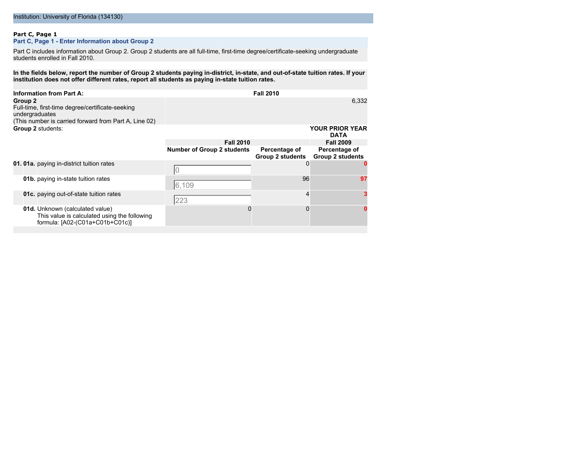## **Part C, Page 1**

## **Part C, Page 1 - Enter Information about Group 2**

Part C includes information about Group 2. Group 2 students are all full-time, first-time degree/certificate-seeking undergraduate students enrolled in Fall 2010.

**In the fields below, report the number of Group 2 students paying in-district, in-state, and out-of-state tuition rates. If your institution does not offer different rates, report all students as paying in-state tuition rates.**

| <b>Information from Part A:</b>                                                                                                        |                                   | <b>Fall 2010</b>                  |                                          |
|----------------------------------------------------------------------------------------------------------------------------------------|-----------------------------------|-----------------------------------|------------------------------------------|
| Group 2<br>Full-time, first-time degree/certificate-seeking<br>undergraduates<br>(This number is carried forward from Part A, Line 02) |                                   |                                   | 6,332                                    |
| Group 2 students:                                                                                                                      |                                   |                                   | <b>YOUR PRIOR YEAR</b><br><b>DATA</b>    |
|                                                                                                                                        | <b>Fall 2010</b>                  |                                   | <b>Fall 2009</b>                         |
|                                                                                                                                        | <b>Number of Group 2 students</b> | Percentage of<br>Group 2 students | Percentage of<br><b>Group 2 students</b> |
| 01. 01a. paying in-district tuition rates                                                                                              |                                   | 0                                 |                                          |
| <b>01b.</b> paying in-state tuition rates                                                                                              | 6.109                             | 96                                | 97                                       |
| 01c. paying out-of-state tuition rates                                                                                                 | 223                               | 4                                 |                                          |
| 01d. Unknown (calculated value)<br>This value is calculated using the following<br>formula: [A02-(C01a+C01b+C01c)]                     |                                   | $\Omega$                          |                                          |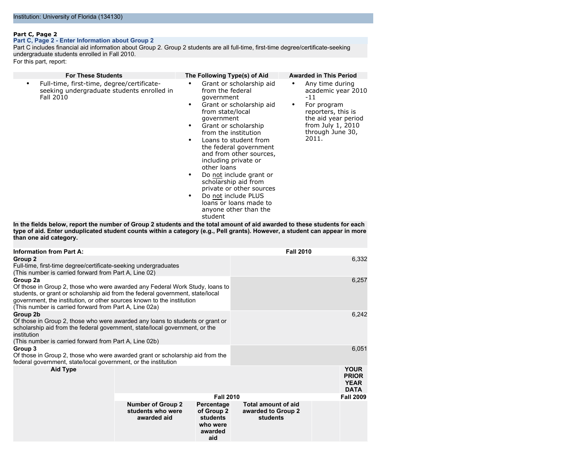#### **Part C, Page 2**

#### **Part C, Page 2 - Enter Information about Group 2**

Part C includes financial aid information about Group 2. Group 2 students are all full-time, first-time degree/certificate-seeking undergraduate students enrolled in Fall 2010.

For this part, report:

| <b>For These Students</b><br>The Following Type(s) of Aid                                                                                                                                                                                                                                                                                                                                                                                                                                                                                                                                                                                          | <b>Awarded in This Period</b>                                                                                                             |
|----------------------------------------------------------------------------------------------------------------------------------------------------------------------------------------------------------------------------------------------------------------------------------------------------------------------------------------------------------------------------------------------------------------------------------------------------------------------------------------------------------------------------------------------------------------------------------------------------------------------------------------------------|-------------------------------------------------------------------------------------------------------------------------------------------|
| Grant or scholarship aid<br>Full-time, first-time, degree/certificate-<br>$\bullet$<br>seeking undergraduate students enrolled in<br>from the federal<br>Fall 2010<br>$-11$<br>government<br>Grant or scholarship aid<br>٠<br>٠<br>from state/local<br>qovernment<br>Grant or scholarship<br>$\bullet$<br>from the institution<br>2011.<br>Loans to student from<br>the federal government<br>and from other sources,<br>including private or<br>other loans<br>Do not include grant or<br>$\bullet$<br>scholarship aid from<br>private or other sources<br>Do not include PLUS<br>٠<br>loans or loans made to<br>anyone other than the<br>student | Any time during<br>academic year 201<br>For program<br>reporters, this is<br>the aid year period<br>from July 1, 2010<br>through June 30, |
| In the fields below, report the number of Group 2 students and the total amount of aid awarded to these students for eacl<br>type of aid. Enter unduplicated student counts within a category (e.g., Pell grants). However, a student can appear in mor<br>than one aid category.                                                                                                                                                                                                                                                                                                                                                                  |                                                                                                                                           |
| <b>Information from Part A:</b><br><b>Fall 2010</b>                                                                                                                                                                                                                                                                                                                                                                                                                                                                                                                                                                                                |                                                                                                                                           |
| Group <sub>2</sub><br>Full-time, first-time degree/certificate-seeking undergraduates<br>(This number is carried forward from Part A, Line 02)                                                                                                                                                                                                                                                                                                                                                                                                                                                                                                     | 6,33                                                                                                                                      |
| Group 2a<br>Of those in Group 2, those who were awarded any Federal Work Study, loans to                                                                                                                                                                                                                                                                                                                                                                                                                                                                                                                                                           | 6,25                                                                                                                                      |

| Group 2<br>Full-time, first-time degree/certificate-seeking undergraduates<br>(This number is carried forward from Part A, Line 02)                                                                                                                                                                            |                                                              |                                                                    |                                                       | 6,332                                                     |
|----------------------------------------------------------------------------------------------------------------------------------------------------------------------------------------------------------------------------------------------------------------------------------------------------------------|--------------------------------------------------------------|--------------------------------------------------------------------|-------------------------------------------------------|-----------------------------------------------------------|
| Group 2a<br>Of those in Group 2, those who were awarded any Federal Work Study, loans to<br>students, or grant or scholarship aid from the federal government, state/local<br>government, the institution, or other sources known to the institution<br>(This number is carried forward from Part A, Line 02a) |                                                              | 6,257                                                              |                                                       |                                                           |
| Group 2b<br>Of those in Group 2, those who were awarded any loans to students or grant or<br>scholarship aid from the federal government, state/local government, or the<br>institution<br>(This number is carried forward from Part A, Line 02b)                                                              |                                                              |                                                                    |                                                       | 6,242                                                     |
| Group 3<br>Of those in Group 2, those who were awarded grant or scholarship aid from the<br>federal government, state/local government, or the institution                                                                                                                                                     |                                                              |                                                                    |                                                       | 6,051                                                     |
| <b>Aid Type</b>                                                                                                                                                                                                                                                                                                |                                                              |                                                                    |                                                       | <b>YOUR</b><br><b>PRIOR</b><br><b>YEAR</b><br><b>DATA</b> |
|                                                                                                                                                                                                                                                                                                                | <b>Fall 2010</b>                                             | <b>Fall 2009</b>                                                   |                                                       |                                                           |
|                                                                                                                                                                                                                                                                                                                | <b>Number of Group 2</b><br>students who were<br>awarded aid | Percentage<br>of Group 2<br>students<br>who were<br>awarded<br>aid | Total amount of aid<br>awarded to Group 2<br>students |                                                           |

- academic year 2010
- the aid year period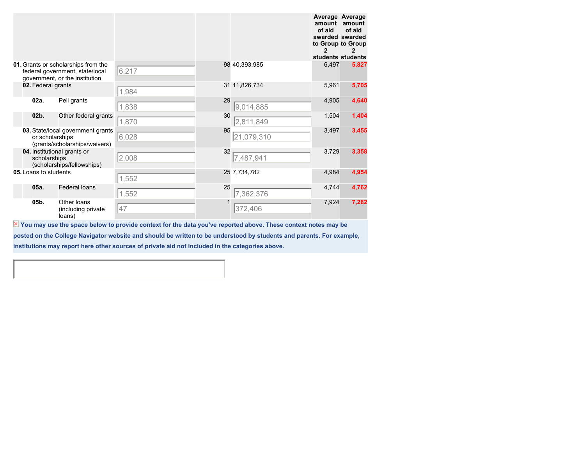|                       |                                                                                                          |                                                                                                                           |    |               | amount<br>of aid | Average Average<br>amount<br>of aid<br>awarded awarded<br>to Group to Group<br>students students |
|-----------------------|----------------------------------------------------------------------------------------------------------|---------------------------------------------------------------------------------------------------------------------------|----|---------------|------------------|--------------------------------------------------------------------------------------------------|
|                       | 01. Grants or scholarships from the<br>federal government, state/local<br>government, or the institution | 6,217                                                                                                                     |    | 98 40,393,985 | 6,497            | 5,827                                                                                            |
| 02. Federal grants    |                                                                                                          | 1,984                                                                                                                     |    | 31 11,826,734 | 5,961            | 5,705                                                                                            |
| 02a.                  | Pell grants                                                                                              | 1,838                                                                                                                     | 29 | 9,014,885     | 4,905            | 4,640                                                                                            |
| $02b$ .               | Other federal grants                                                                                     | 1,870                                                                                                                     | 30 | 2,811,849     | 1,504            | 1,404                                                                                            |
| or scholarships       | 03. State/local government grants<br>(grants/scholarships/waivers)                                       | 6,028                                                                                                                     | 95 | 21,079,310    | 3,497            | 3,455                                                                                            |
| scholarships          | 04. Institutional grants or<br>(scholarships/fellowships)                                                | 2,008                                                                                                                     | 32 | 7,487,941     | 3,729            | 3,358                                                                                            |
| 05. Loans to students |                                                                                                          | 1,552                                                                                                                     |    | 25 7,734,782  | 4,984            | 4,954                                                                                            |
| 05a.                  | <b>Federal loans</b>                                                                                     | 1,552                                                                                                                     | 25 | 7,362,376     | 4,744            | 4,762                                                                                            |
| 05b.                  | Other loans<br>(including private)<br>loans)                                                             | 47                                                                                                                        |    | 372,406       | 7,924            | 7,282                                                                                            |
|                       |                                                                                                          | $\boxtimes$ You may use the space below to provide context for the data you've reported above. These context notes may be |    |               |                  |                                                                                                  |

**posted on the College Navigator website and should be written to be understood by students and parents. For example,**

**institutions may report here other sources of private aid not included in the categories above.**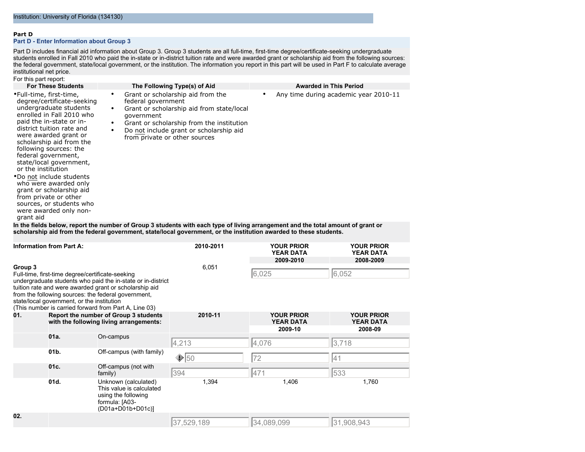#### **Part D**

## **Part D - Enter Information about Group 3**

Part D includes financial aid information about Group 3. Group 3 students are all full-time, first-time degree/certificate-seeking undergraduate students enrolled in Fall 2010 who paid the in-state or in-district tuition rate and were awarded grant or scholarship aid from the following sources: the federal government, state/local government, or the institution. The information you report in this part will be used in Part F to calculate average institutional net price.

For this part report:

| <b>For These Students</b>                                                                                                                                                                                                                                                                                                                                                                                                                                                                                 | The Following Type(s) of Aid                                                                                                                                                                                                                                               | <b>Awarded in This Period</b>              |
|-----------------------------------------------------------------------------------------------------------------------------------------------------------------------------------------------------------------------------------------------------------------------------------------------------------------------------------------------------------------------------------------------------------------------------------------------------------------------------------------------------------|----------------------------------------------------------------------------------------------------------------------------------------------------------------------------------------------------------------------------------------------------------------------------|--------------------------------------------|
| •Full-time, first-time,<br>degree/certificate-seeking<br>undergraduate students<br>enrolled in Fall 2010 who<br>paid the in-state or in-<br>district tuition rate and<br>were awarded grant or<br>scholarship aid from the<br>following sources: the<br>federal government,<br>state/local government,<br>or the institution<br>•Do not include students<br>who were awarded only<br>grant or scholarship aid<br>from private or other<br>sources, or students who<br>were awarded only non-<br>grant aid | Grant or scholarship aid from the<br>$\bullet$<br>federal government<br>Grant or scholarship aid from state/local<br>٠<br>qovernment<br>Grant or scholarship from the institution<br>$\bullet$<br>Do not include grant or scholarship aid<br>from private or other sources | Any time during academic year 2010-11<br>٠ |
|                                                                                                                                                                                                                                                                                                                                                                                                                                                                                                           | In the fields helow, report the number of Group 3 students with each type of living arrangement and the total amount of grapt or                                                                                                                                           |                                            |

**In the fields below, report the number of Group 3 students with each type of living arrangement and the total amount of grant or scholarship aid from the federal government, state/local government, or the institution awarded to these students.**

| <b>Information from Part A:</b> |                                                                                                |                                                                                                                                                                                                                                       | 2010-2011     | <b>YOUR PRIOR</b><br><b>YEAR DATA</b><br>2009-2010 | <b>YOUR PRIOR</b><br><b>YEAR DATA</b><br>2008-2009 |  |
|---------------------------------|------------------------------------------------------------------------------------------------|---------------------------------------------------------------------------------------------------------------------------------------------------------------------------------------------------------------------------------------|---------------|----------------------------------------------------|----------------------------------------------------|--|
| Group 3                         | Full-time, first-time degree/certificate-seeking<br>state/local government, or the institution | undergraduate students who paid the in-state or in-district<br>tuition rate and were awarded grant or scholarship aid<br>from the following sources: the federal government,<br>(This number is carried forward from Part A, Line 03) | 6,051         | 6,025                                              | 6,052                                              |  |
| 01.                             | Report the number of Group 3 students<br>with the following living arrangements:               |                                                                                                                                                                                                                                       | 2010-11       | <b>YOUR PRIOR</b><br><b>YEAR DATA</b><br>2009-10   | <b>YOUR PRIOR</b><br><b>YEAR DATA</b><br>2008-09   |  |
|                                 | 01a.                                                                                           | On-campus                                                                                                                                                                                                                             | 4,213         | 4,076                                              | 3,718                                              |  |
|                                 | 01b.                                                                                           | Off-campus (with family)                                                                                                                                                                                                              | $\bigcirc$ 50 | 72                                                 | 41                                                 |  |
|                                 | 01c.                                                                                           | Off-campus (not with<br>family)                                                                                                                                                                                                       | 394           | 471                                                | 533                                                |  |
|                                 | 01d.                                                                                           | Unknown (calculated)<br>This value is calculated<br>using the following<br>formula: [A03-<br>(D01a+D01b+D01c)]                                                                                                                        | 1,394         | 1,406                                              | 1,760                                              |  |
| 02.                             |                                                                                                |                                                                                                                                                                                                                                       | 37,529,189    | 34,089,099                                         | 31,908,943                                         |  |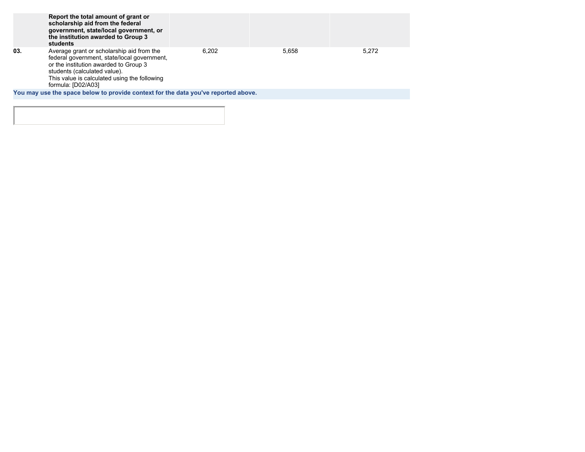|     | Report the total amount of grant or<br>scholarship aid from the federal<br>government, state/local government, or<br>the institution awarded to Group 3<br>students                                                                     |       |       |       |
|-----|-----------------------------------------------------------------------------------------------------------------------------------------------------------------------------------------------------------------------------------------|-------|-------|-------|
| 03. | Average grant or scholarship aid from the<br>federal government, state/local government,<br>or the institution awarded to Group 3<br>students (calculated value).<br>This value is calculated using the following<br>formula: [D02/A03] | 6.202 | 5.658 | 5.272 |
|     | You may use the space below to provide context for the data you've reported above.                                                                                                                                                      |       |       |       |
|     |                                                                                                                                                                                                                                         |       |       |       |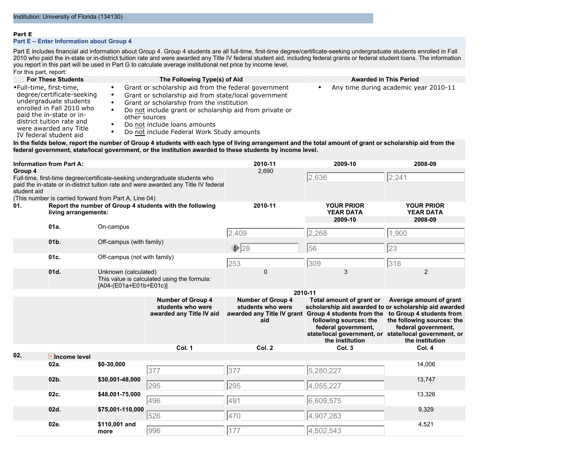#### **Part E**

#### **Part E – Enter Information about Group 4**

Part E includes financial aid information about Group 4. Group 4 students are all full-time, first-time degree/certificate-seeking undergraduate students enrolled in Fall 2010 who paid the in-state or in-district tuition rate and were awarded any Title IV federal student aid, including federal grants or federal student loans. The information you report in this part will be used in Part G to calculate average institutional net price by income level.

For this part, report:<br>**For These Students Following Type(s) of Aid Awarded in This Period Awarded in This Period** •Full-time, first-time, degree/certificate-seeking undergraduate students enrolled in Fall 2010 who paid the in-state or indistrict tuition rate and were awarded any Title • Grant or scholarship aid from the federal government • Grant or scholarship aid from state/local government • Grant or scholarship from the institution<br>• Do not include grant or scholarship aid fr • Do not include grant or scholarship aid from private or other sources • Do not include loans amounts • Any time during academic year 2010-11

IV federal student aid

• Do not include Federal Work Study amounts

**In the fields below, report the number of Group 4 students with each type of living arrangement and the total amount of grant or scholarship aid from the federal government, state/local government, or the institution awarded to these students by income level.**

|                        | <b>Information from Part A:</b>                                                  |                                                       |                                                                                                                                                                    | 2010-11                                              | 2009-10                                                                                                                                                                                                                                                                                         | 2008-09                                                                                         |  |
|------------------------|----------------------------------------------------------------------------------|-------------------------------------------------------|--------------------------------------------------------------------------------------------------------------------------------------------------------------------|------------------------------------------------------|-------------------------------------------------------------------------------------------------------------------------------------------------------------------------------------------------------------------------------------------------------------------------------------------------|-------------------------------------------------------------------------------------------------|--|
| Group 4<br>student aid |                                                                                  | (This number is carried forward from Part A, Line 04) | Full-time, first-time degree/certificate-seeking undergraduate students who<br>paid the in-state or in-district tuition rate and were awarded any Title IV federal | 2,690                                                | 2,636                                                                                                                                                                                                                                                                                           | 2,241                                                                                           |  |
| 01.                    | Report the number of Group 4 students with the following<br>living arrangements: |                                                       |                                                                                                                                                                    | 2010-11                                              | <b>YOUR PRIOR</b><br><b>YEAR DATA</b><br>2009-10                                                                                                                                                                                                                                                | <b>YOUR PRIOR</b><br><b>YEAR DATA</b><br>2008-09                                                |  |
|                        | 01a.                                                                             | On-campus                                             |                                                                                                                                                                    | 2,409                                                | 2,268                                                                                                                                                                                                                                                                                           | 1,900                                                                                           |  |
|                        | $01b$ .                                                                          | Off-campus (with family)                              |                                                                                                                                                                    | $\bigtriangledown$ 28                                | 56                                                                                                                                                                                                                                                                                              | 23                                                                                              |  |
|                        | 01c.                                                                             | Off-campus (not with family)                          |                                                                                                                                                                    | 253                                                  | 309                                                                                                                                                                                                                                                                                             | 316                                                                                             |  |
|                        | 01d.                                                                             | Unknown (calculated)<br>[A04-(E01a+E01b+E01c)]        | This value is calculated using the formula:                                                                                                                        | 0                                                    | 3                                                                                                                                                                                                                                                                                               | $\overline{2}$                                                                                  |  |
|                        |                                                                                  |                                                       |                                                                                                                                                                    | 2010-11                                              |                                                                                                                                                                                                                                                                                                 |                                                                                                 |  |
|                        |                                                                                  |                                                       | <b>Number of Group 4</b><br>students who were<br>awarded any Title IV aid                                                                                          | <b>Number of Group 4</b><br>students who were<br>aid | Total amount of grant or<br>scholarship aid awarded to or scholarship aid awarded<br>awarded any Title IV grant Group 4 students from the to Group 4 students from<br>following sources: the<br>federal government,<br>state/local government, or state/local government, or<br>the institution | Average amount of grant<br>the following sources: the<br>federal government,<br>the institution |  |
|                        |                                                                                  |                                                       | Col. 1                                                                                                                                                             | Col. 2                                               | Col. 3                                                                                                                                                                                                                                                                                          | Col. 4                                                                                          |  |
| 02.                    | $X$ Income level<br>02a.                                                         | \$0-30,000                                            | 377                                                                                                                                                                | 377                                                  | 5,280,227                                                                                                                                                                                                                                                                                       | 14,006                                                                                          |  |
|                        | $02b$ .                                                                          | \$30,001-48,000                                       | 295                                                                                                                                                                | 295                                                  | 4,055,227                                                                                                                                                                                                                                                                                       | 13,747                                                                                          |  |
|                        | 02c.                                                                             | \$48,001-75,000                                       | 496                                                                                                                                                                | 491                                                  | 6,609,575                                                                                                                                                                                                                                                                                       | 13,326                                                                                          |  |
|                        | 02d.                                                                             | \$75,001-110,000                                      | 526                                                                                                                                                                | 470                                                  | 4,907,283                                                                                                                                                                                                                                                                                       | 9,329                                                                                           |  |
|                        | 02e.                                                                             | \$110,001 and<br>more                                 | 996                                                                                                                                                                | 177                                                  | 4,502,543                                                                                                                                                                                                                                                                                       | 4,521                                                                                           |  |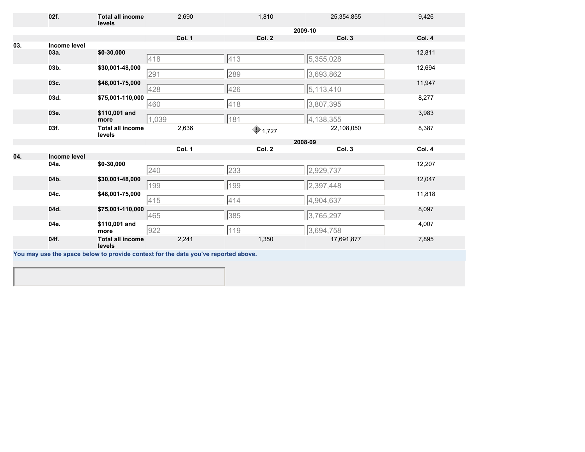|     | 02f.                               | <b>Total all income</b><br>levels | 2,690                                                                              | 1,810            | 25,354,855 | 9,426  |
|-----|------------------------------------|-----------------------------------|------------------------------------------------------------------------------------|------------------|------------|--------|
|     |                                    |                                   |                                                                                    |                  | 2009-10    |        |
|     |                                    |                                   | Col. 1                                                                             | Col. 2           | Col. 3     | Col. 4 |
| 03. | Income level<br>03a.               | \$0-30,000                        |                                                                                    |                  |            | 12,811 |
|     |                                    |                                   | 418                                                                                | 413              | 5,355,028  |        |
|     | 03b.                               | \$30,001-48,000                   | 291                                                                                | 289              | 3,693,862  | 12,694 |
|     | 03c.                               | \$48,001-75,000                   | 428                                                                                | 426              | 5,113,410  | 11,947 |
|     | 03d.                               | \$75,001-110,000                  |                                                                                    |                  |            | 8,277  |
|     |                                    |                                   | 460                                                                                | 418              | 3,807,395  |        |
|     | 03e.                               | \$110,001 and                     |                                                                                    |                  |            | 3,983  |
|     |                                    | more                              | 1,039                                                                              | 181              | 4,138,355  |        |
|     | 03f.                               | <b>Total all income</b><br>levels | 2,636                                                                              | $\bigcirc$ 1,727 | 22,108,050 | 8,387  |
|     |                                    |                                   |                                                                                    |                  | 2008-09    |        |
|     |                                    |                                   | Col. 1                                                                             | Col. 2           | Col. 3     | Col. 4 |
| 04. | Income level<br>04a.<br>\$0-30,000 |                                   |                                                                                    |                  |            |        |
|     |                                    |                                   | 240                                                                                | 233              | 2,929,737  | 12,207 |
|     | 04b.                               | \$30,001-48,000                   |                                                                                    |                  |            | 12,047 |
|     |                                    |                                   | 199                                                                                | 199              | 2,397,448  |        |
|     | 04c.                               | \$48,001-75,000                   |                                                                                    |                  |            | 11,818 |
|     |                                    |                                   | 415                                                                                | 414              | 4,904,637  |        |
|     | 04d.                               | \$75,001-110,000                  | 465                                                                                | 385              | 3,765,297  | 8,097  |
|     | 04e.                               | \$110,001 and                     |                                                                                    |                  |            | 4,007  |
|     |                                    | more                              | 922                                                                                | 119              | 3,694,758  |        |
|     | 04f.                               | <b>Total all income</b>           | 2,241                                                                              | 1,350            | 17,691,877 | 7,895  |
|     |                                    | levels                            |                                                                                    |                  |            |        |
|     |                                    |                                   | You may use the space below to provide context for the data you've reported above. |                  |            |        |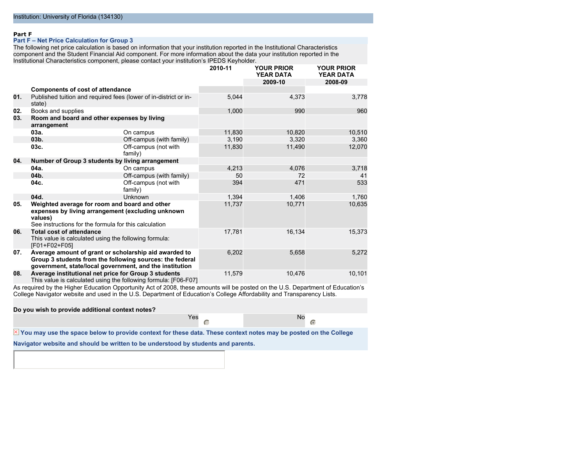#### **Part F**

## **Part F – Net Price Calculation for Group 3**

The following net price calculation is based on information that your institution reported in the Institutional Characteristics component and the Student Financial Aid component. For more information about the data your institution reported in the Institutional Characteristics component, please contact your institution's IPEDS Keyholder.

|     |                                                                                                                                                                              |                                 | 2010-11 | <b>YOUR PRIOR</b><br><b>YEAR DATA</b><br>2009-10 | <b>YOUR PRIOR</b><br><b>YEAR DATA</b><br>2008-09 |  |
|-----|------------------------------------------------------------------------------------------------------------------------------------------------------------------------------|---------------------------------|---------|--------------------------------------------------|--------------------------------------------------|--|
|     | <b>Components of cost of attendance</b>                                                                                                                                      |                                 |         |                                                  |                                                  |  |
| 01. | Published tuition and required fees (lower of in-district or in-<br>state)                                                                                                   |                                 | 5.044   | 4.373                                            | 3.778                                            |  |
| 02. | Books and supplies                                                                                                                                                           |                                 | 1,000   | 990                                              | 960                                              |  |
| 03. | Room and board and other expenses by living<br>arrangement                                                                                                                   |                                 |         |                                                  |                                                  |  |
|     | 03a.                                                                                                                                                                         | On campus                       | 11,830  | 10,820                                           | 10,510                                           |  |
|     | 03 <sub>b</sub>                                                                                                                                                              | Off-campus (with family)        | 3,190   | 3,320                                            | 3,360                                            |  |
|     | 03c.                                                                                                                                                                         | Off-campus (not with<br>family) | 11,830  | 11,490                                           | 12,070                                           |  |
| 04. | Number of Group 3 students by living arrangement                                                                                                                             |                                 |         |                                                  |                                                  |  |
|     | 04a.                                                                                                                                                                         | On campus                       | 4.213   | 4,076                                            | 3,718                                            |  |
|     | 04b.                                                                                                                                                                         | Off-campus (with family)        | 50      | 72                                               | 41                                               |  |
|     | 04c.                                                                                                                                                                         | Off-campus (not with<br>family) | 394     | 471                                              | 533                                              |  |
|     | 04d.                                                                                                                                                                         | Unknown                         | 1.394   | 1,406                                            | 1,760                                            |  |
| 05. | Weighted average for room and board and other<br>expenses by living arrangement (excluding unknown<br>values)<br>See instructions for the formula for this calculation       |                                 | 11,737  | 10,771                                           | 10,635                                           |  |
| 06. | <b>Total cost of attendance</b><br>This value is calculated using the following formula:<br>[F01+F02+F05]                                                                    |                                 | 17,781  | 16,134                                           | 15,373                                           |  |
| 07. | Average amount of grant or scholarship aid awarded to<br>Group 3 students from the following sources: the federal<br>government, state/local government, and the institution |                                 | 6,202   | 5,658                                            | 5,272                                            |  |
| 08. | Average institutional net price for Group 3 students<br>This value is calculated using the following formula: [F06-F07]                                                      |                                 | 11,579  | 10,476                                           | 10,101                                           |  |

As required by the Higher Education Opportunity Act of 2008, these amounts will be posted on the U.S. Department of Education's College Navigator website and used in the U.S. Department of Education's College Affordability and Transparency Lists.

## **Do you wish to provide additional context notes?**

Yes No. 2014

 $\sqrt{2}$ 

 $\overline{X}$  You may use the space below to provide context for these data. These context notes may be posted on the College

**Navigator website and should be written to be understood by students and parents.**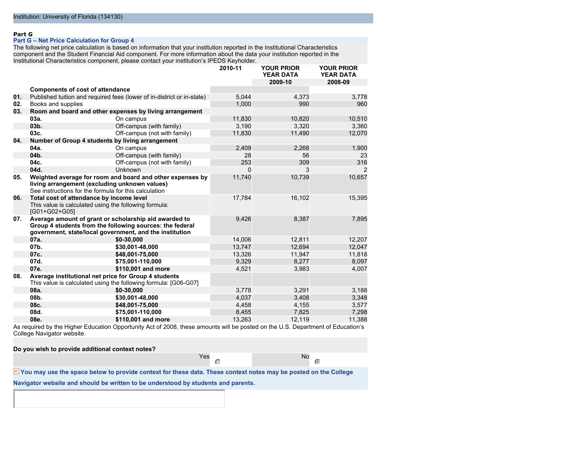#### **Part G**

## **Part G – Net Price Calculation for Group 4**

The following net price calculation is based on information that your institution reported in the Institutional Characteristics component and the Student Financial Aid component. For more information about the data your institution reported in the Institutional Characteristics component, please contact your institution's IPEDS Keyholder.

|     |                                                                                                                         |                                                                                                                                                                              | 2010-11  | <b>YOUR PRIOR</b><br><b>YEAR DATA</b> | <b>YOUR PRIOR</b><br><b>YEAR DATA</b> |
|-----|-------------------------------------------------------------------------------------------------------------------------|------------------------------------------------------------------------------------------------------------------------------------------------------------------------------|----------|---------------------------------------|---------------------------------------|
|     |                                                                                                                         |                                                                                                                                                                              |          | 2009-10                               | 2008-09                               |
|     | <b>Components of cost of attendance</b>                                                                                 |                                                                                                                                                                              |          |                                       |                                       |
| 01. |                                                                                                                         | Published tuition and required fees (lower of in-district or in-state)                                                                                                       | 5,044    | 4,373                                 | 3,778                                 |
| 02. | Books and supplies                                                                                                      |                                                                                                                                                                              | 1,000    | 990                                   | 960                                   |
| 03. |                                                                                                                         | Room and board and other expenses by living arrangement                                                                                                                      |          |                                       |                                       |
|     | 03a.                                                                                                                    | On campus                                                                                                                                                                    | 11,830   | 10,820                                | 10,510                                |
|     | 03 <sub>b</sub>                                                                                                         | Off-campus (with family)                                                                                                                                                     | 3,190    | 3,320                                 | 3,360                                 |
|     | 03c.                                                                                                                    | Off-campus (not with family)                                                                                                                                                 | 11,830   | 11,490                                | 12,070                                |
| 04. | Number of Group 4 students by living arrangement                                                                        |                                                                                                                                                                              |          |                                       |                                       |
|     | 04a.                                                                                                                    | On campus                                                                                                                                                                    | 2,409    | 2,268                                 | 1,900                                 |
|     | 04b.                                                                                                                    | Off-campus (with family)                                                                                                                                                     | 28       | 56                                    | 23                                    |
|     | 04c.                                                                                                                    | Off-campus (not with family)                                                                                                                                                 | 253      | 309                                   | 316                                   |
|     | 04d.                                                                                                                    | Unknown                                                                                                                                                                      | $\Omega$ | 3                                     | 2                                     |
| 05. | living arrangement (excluding unknown values)<br>See instructions for the formula for this calculation                  | Weighted average for room and board and other expenses by                                                                                                                    | 11,740   | 10,739                                | 10,657                                |
| 06. | Total cost of attendance by income level<br>This value is calculated using the following formula:<br>[G01+G02+G05]      |                                                                                                                                                                              | 17,784   | 16,102                                | 15,395                                |
| 07. |                                                                                                                         | Average amount of grant or scholarship aid awarded to<br>Group 4 students from the following sources: the federal<br>government, state/local government, and the institution | 9,426    | 8,387                                 | 7,895                                 |
|     | 07a.                                                                                                                    | \$0-30.000                                                                                                                                                                   | 14,006   | 12,811                                | 12,207                                |
|     | 07b.                                                                                                                    | \$30,001-48,000                                                                                                                                                              | 13,747   | 12,694                                | 12,047                                |
|     | 07c.                                                                                                                    | \$48,001-75,000                                                                                                                                                              | 13,326   | 11,947                                | 11,818                                |
|     | 07d.                                                                                                                    | \$75,001-110,000                                                                                                                                                             | 9,329    | 8,277                                 | 8,097                                 |
|     | 07e.                                                                                                                    | \$110,001 and more                                                                                                                                                           | 4,521    | 3,983                                 | 4,007                                 |
| 08. | Average institutional net price for Group 4 students<br>This value is calculated using the following formula: [G06-G07] |                                                                                                                                                                              |          |                                       |                                       |
|     | 08a.                                                                                                                    | \$0-30.000                                                                                                                                                                   | 3.778    | 3,291                                 | 3,188                                 |
|     | 08b.                                                                                                                    | \$30,001-48,000                                                                                                                                                              | 4,037    | 3,408                                 | 3,348                                 |
|     | 08c.                                                                                                                    | \$48,001-75,000                                                                                                                                                              | 4,458    | 4,155                                 | 3,577                                 |
|     | 08d.                                                                                                                    | \$75,001-110,000                                                                                                                                                             | 8,455    | 7,825                                 | 7,298                                 |
|     | 08e.                                                                                                                    | \$110,001 and more                                                                                                                                                           | 13,263   | 12,119                                | 11,388                                |

As required by the Higher Education Opportunity Act of 2008, these amounts will be posted on the U.S. Department of Education's College Navigator website.

**Do you wish to provide additional context notes?**

Yes No

 $\sqrt{2}$ 

 $\overline{X}$  You may use the space below to provide context for these data. These context notes may be posted on the College

**Navigator website and should be written to be understood by students and parents.**